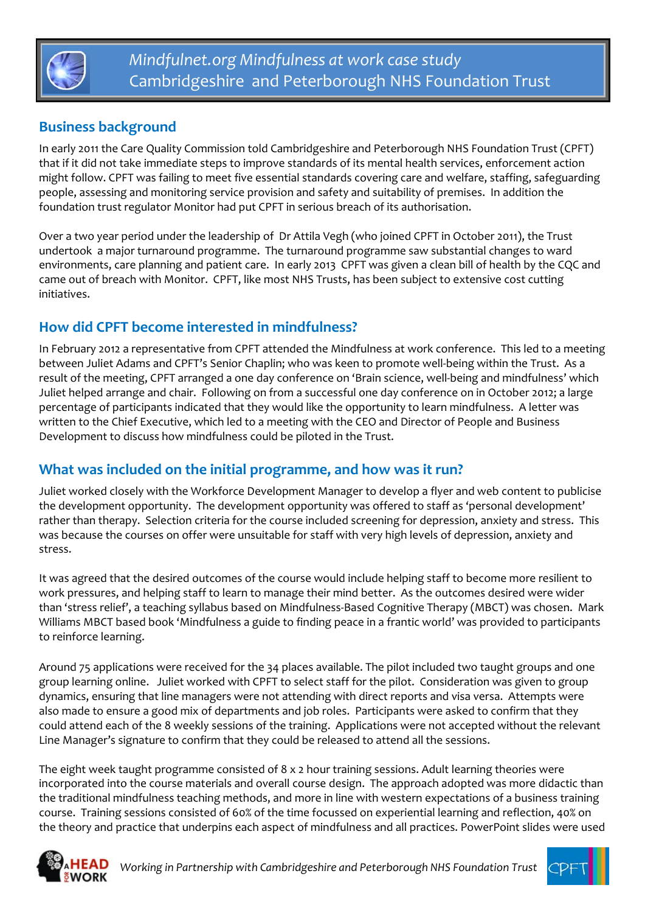

# **Business background**

In early 2011 the Care Quality Commission told Cambridgeshire and Peterborough NHS Foundation Trust (CPFT) that if it did not take immediate steps to improve standards of its mental health services, enforcement action might follow. CPFT was failing to meet five essential standards covering care and welfare, staffing, safeguarding people, assessing and monitoring service provision and safety and suitability of premises. In addition the foundation trust regulator Monitor had put CPFT in serious breach of its authorisation.

Over a two year period under the leadership of Dr Attila Vegh (who joined CPFT in October 2011), the Trust undertook a major turnaround programme. The turnaround programme saw substantial changes to ward environments, care planning and patient care. In early 2013 CPFT was given a clean bill of health by the CQC and came out of breach with Monitor. CPFT, like most NHS Trusts, has been subject to extensive cost cutting initiatives.

## **How did CPFT become interested in mindfulness?**

In February 2012 a representative from CPFT attended the Mindfulness at work conference. This led to a meeting between Juliet Adams and CPFT's Senior Chaplin; who was keen to promote well-being within the Trust. As a result of the meeting, CPFT arranged a one day conference on 'Brain science, well‐being and mindfulness' which Juliet helped arrange and chair. Following on from a successful one day conference on in October 2012; a large percentage of participants indicated that they would like the opportunity to learn mindfulness. A letter was written to the Chief Executive, which led to a meeting with the CEO and Director of People and Business Development to discuss how mindfulness could be piloted in the Trust.

### **What was included on the initial programme, and how was it run?**

Juliet worked closely with the Workforce Development Manager to develop a flyer and web content to publicise the development opportunity. The development opportunity was offered to staff as 'personal development' rather than therapy. Selection criteria for the course included screening for depression, anxiety and stress. This was because the courses on offer were unsuitable for staff with very high levels of depression, anxiety and stress.

It was agreed that the desired outcomes of the course would include helping staff to become more resilient to work pressures, and helping staff to learn to manage their mind better. As the outcomes desired were wider than 'stress relief', a teaching syllabus based on Mindfulness‐Based Cognitive Therapy (MBCT) was chosen. Mark Williams MBCT based book 'Mindfulness a guide to finding peace in a frantic world' was provided to participants to reinforce learning.

Around 75 applications were received for the 34 places available. The pilot included two taught groups and one group learning online. Juliet worked with CPFT to select staff for the pilot. Consideration was given to group dynamics, ensuring that line managers were not attending with direct reports and visa versa. Attempts were also made to ensure a good mix of departments and job roles. Participants were asked to confirm that they could attend each of the 8 weekly sessions of the training. Applications were not accepted without the relevant Line Manager's signature to confirm that they could be released to attend all the sessions.

The eight week taught programme consisted of 8 x 2 hour training sessions. Adult learning theories were incorporated into the course materials and overall course design. The approach adopted was more didactic than the traditional mindfulness teaching methods, and more in line with western expectations of a business training course. Training sessions consisted of 60% of the time focussed on experiential learning and reflection, 40% on the theory and practice that underpins each aspect of mindfulness and all practices. PowerPoint slides were used